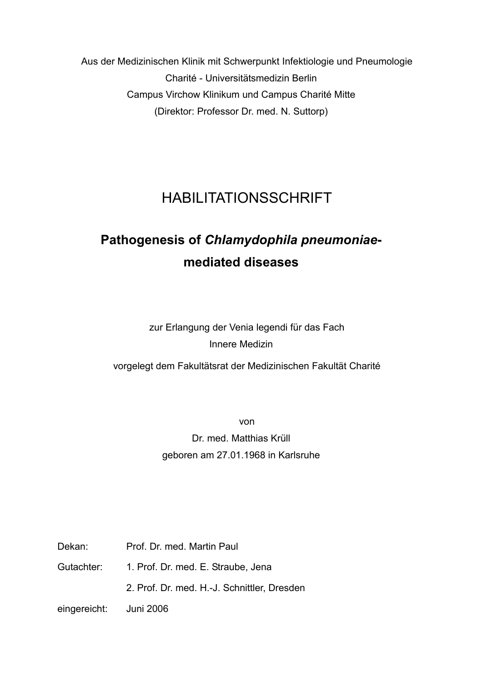Aus der Medizinischen Klinik mit Schwerpunkt Infektiologie und Pneumologie Charité - Universitätsmedizin Berlin Campus Virchow Klinikum und Campus Charité Mitte (Direktor: Professor Dr. med. N. Suttorp)

# HABILITATIONSSCHRIFT

# **Pathogenesis of** *Chlamydophila pneumoniae***mediated diseases**

zur Erlangung der Venia legendi für das Fach Innere Medizin

vorgelegt dem Fakultätsrat der Medizinischen Fakultät Charité

von Dr. med. Matthias Krüll geboren am 27.01.1968 in Karlsruhe

Dekan: Prof. Dr. med. Martin Paul

Gutachter: 1. Prof. Dr. med. E. Straube, Jena

2. Prof. Dr. med. H.-J. Schnittler, Dresden

eingereicht: Juni 2006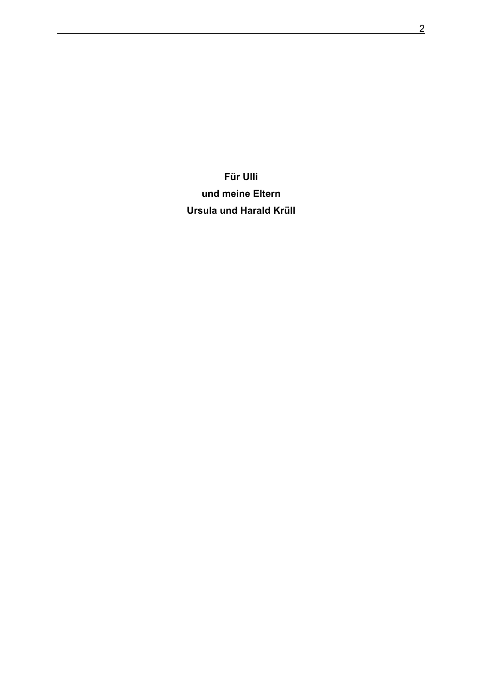**Für Ulli und meine Eltern Ursula und Harald Krüll**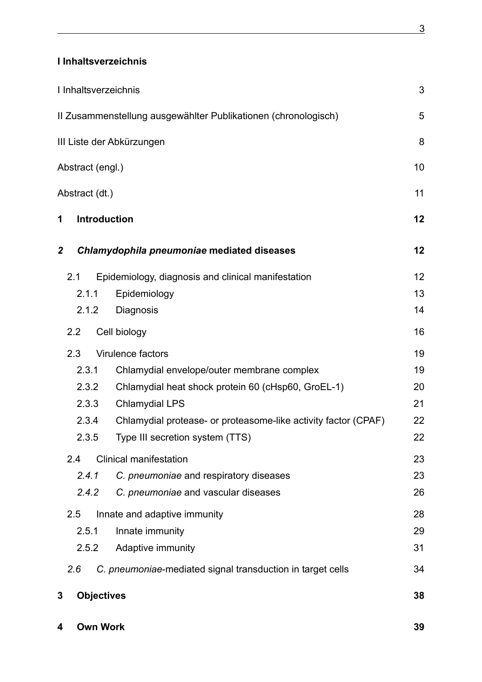### **I Inhaltsverzeichnis**

|                           | I Inhaltsverzeichnis |                                                                | 3  |  |
|---------------------------|----------------------|----------------------------------------------------------------|----|--|
|                           |                      | II Zusammenstellung ausgewählter Publikationen (chronologisch) | 5  |  |
| III Liste der Abkürzungen |                      |                                                                |    |  |
| 10<br>Abstract (engl.)    |                      |                                                                |    |  |
| Abstract (dt.)            |                      |                                                                | 11 |  |
| 1                         | <b>Introduction</b>  |                                                                | 12 |  |
| $\boldsymbol{2}$          |                      | Chlamydophila pneumoniae mediated diseases                     | 12 |  |
|                           | 2.1                  | Epidemiology, diagnosis and clinical manifestation             | 12 |  |
|                           | 2.1.1                | Epidemiology                                                   | 13 |  |
|                           | 2.1.2                | Diagnosis                                                      | 14 |  |
|                           | 2.2                  | Cell biology                                                   | 16 |  |
|                           | 2.3                  | Virulence factors                                              | 19 |  |
|                           | 2.3.1                | Chlamydial envelope/outer membrane complex                     | 19 |  |
|                           | 2.3.2                | Chlamydial heat shock protein 60 (cHsp60, GroEL-1)             | 20 |  |
|                           | 2.3.3                | <b>Chlamydial LPS</b>                                          | 21 |  |
|                           | 2.3.4                | Chlamydial protease- or proteasome-like activity factor (CPAF) | 22 |  |
|                           | 2.3.5                | Type III secretion system (TTS)                                | 22 |  |
|                           | 2.4                  | <b>Clinical manifestation</b>                                  | 23 |  |
|                           | 2.4.1                | C. pneumoniae and respiratory diseases                         | 23 |  |
|                           | 2.4.2                | C. pneumoniae and vascular diseases                            | 26 |  |
|                           | 2.5                  | Innate and adaptive immunity                                   | 28 |  |
|                           | 2.5.1                | Innate immunity                                                | 29 |  |
|                           | 2.5.2                | Adaptive immunity                                              | 31 |  |
|                           | 2.6                  | C. pneumoniae-mediated signal transduction in target cells     | 34 |  |
| 3                         | <b>Objectives</b>    |                                                                | 38 |  |
| 4                         | <b>Own Work</b>      |                                                                | 39 |  |

<span id="page-2-0"></span> $3<sup>3</sup>$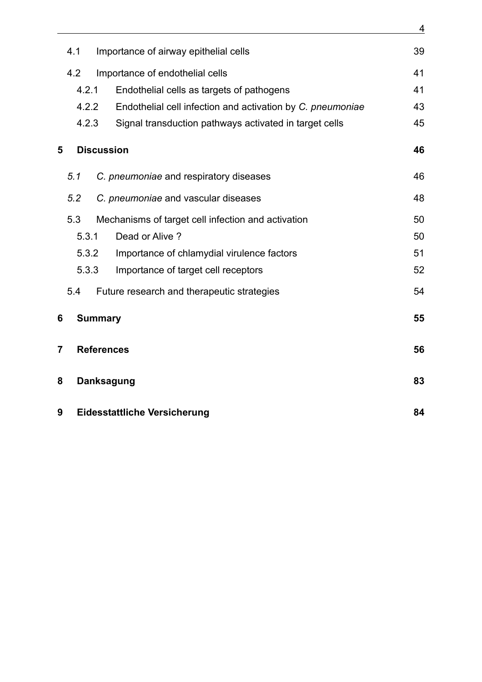|                | 4.1               | Importance of airway epithelial cells                      | 39 |
|----------------|-------------------|------------------------------------------------------------|----|
|                | 4.2               | Importance of endothelial cells                            | 41 |
|                | 4.2.1             | Endothelial cells as targets of pathogens                  | 41 |
|                | 4.2.2             | Endothelial cell infection and activation by C. pneumoniae | 43 |
|                | 4.2.3             | Signal transduction pathways activated in target cells     | 45 |
| 5              | <b>Discussion</b> |                                                            | 46 |
|                | 5.1               | C. pneumoniae and respiratory diseases                     | 46 |
|                | 5.2               | C. pneumoniae and vascular diseases                        | 48 |
|                | 5.3               | Mechanisms of target cell infection and activation         | 50 |
|                | 5.3.1             | Dead or Alive?                                             | 50 |
|                | 5.3.2             | Importance of chlamydial virulence factors                 | 51 |
|                | 5.3.3             | Importance of target cell receptors                        | 52 |
|                | 5.4               | Future research and therapeutic strategies                 | 54 |
| 6              | <b>Summary</b>    |                                                            | 55 |
| $\overline{7}$ | <b>References</b> |                                                            | 56 |
| 8              |                   | <b>Danksagung</b>                                          |    |
| 9              |                   | <b>Eidesstattliche Versicherung</b>                        | 84 |

4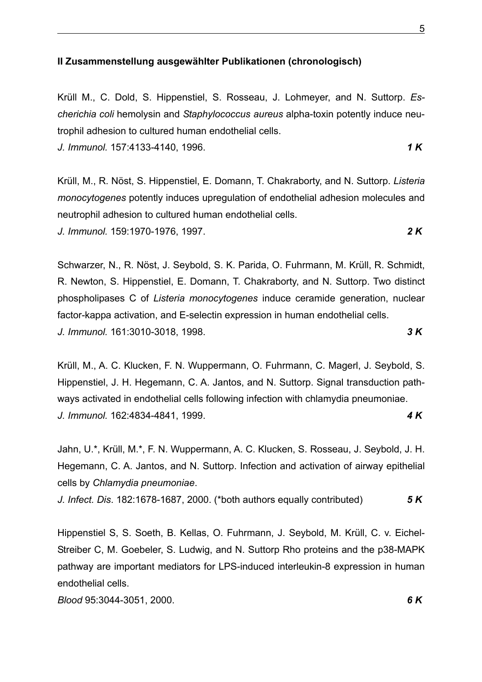#### **II Zusammenstellung ausgewählter Publikationen (chronologisch)**

Krüll M., C. Dold, S. Hippenstiel, S. Rosseau, J. Lohmeyer, and N. Suttorp. *Escherichia coli* hemolysin and *Staphylococcus aureus* alpha-toxin potently induce neutrophil adhesion to cultured human endothelial cells.

*J. Immunol.* 157:4133-4140, 1996. *1 K*

Krüll, M., R. Nöst, S. Hippenstiel, E. Domann, T. Chakraborty, and N. Suttorp. *Listeria monocytogenes* potently induces upregulation of endothelial adhesion molecules and neutrophil adhesion to cultured human endothelial cells. *J. Immunol.* 159:1970-1976, 1997. *2 K*

Schwarzer, N., R. Nöst, J. Seybold, S. K. Parida, O. Fuhrmann, M. Krüll, R. Schmidt, R. Newton, S. Hippenstiel, E. Domann, T. Chakraborty, and N. Suttorp. Two distinct phospholipases C of *Listeria monocytogenes* induce ceramide generation, nuclear factor-kappa activation, and E-selectin expression in human endothelial cells. *J. Immunol.* 161:3010-3018, 1998. *3 K*

Krüll, M., A. C. Klucken, F. N. Wuppermann, O. Fuhrmann, C. Magerl, J. Seybold, S. Hippenstiel, J. H. Hegemann, C. A. Jantos, and N. Suttorp. Signal transduction pathways activated in endothelial cells following infection with chlamydia pneumoniae. *J. Immunol.* 162:4834-4841, 1999. *4 K*

Jahn, U.\*, Krüll, M.\*, F. N. Wuppermann, A. C. Klucken, S. Rosseau, J. Seybold, J. H. Hegemann, C. A. Jantos, and N. Suttorp. Infection and activation of airway epithelial cells by *Chlamydia pneumoniae*.

*J. Infect. Dis*. 182:1678-1687, 2000. (\*both authors equally contributed) *5 K*

Hippenstiel S, S. Soeth, B. Kellas, O. Fuhrmann, J. Seybold, M. Krüll, C. v. Eichel-Streiber C, M. Goebeler, S. Ludwig, and N. Suttorp Rho proteins and the p38-MAPK pathway are important mediators for LPS-induced interleukin-8 expression in human endothelial cells.

*Blood* 95:3044-3051, 2000. *6 K*

<span id="page-4-0"></span><u>5. In the contract of the contract of the contract of the contract of the contract of the contract of the con</u>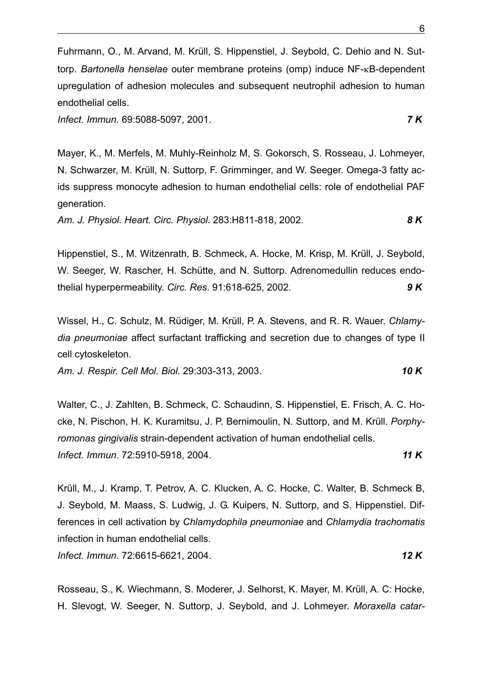Fuhrmann, O., M. Arvand, M. Krüll, S. Hippenstiel, J. Seybold, C. Dehio and N. Suttorp. *Bartonella henselae* outer membrane proteins (omp) induce NF-κB-dependent upregulation of adhesion molecules and subsequent neutrophil adhesion to human endothelial cells.

*Infect. Immun.* 69:5088-5097, 2001. *7 K*

Mayer, K., M. Merfels, M. Muhly-Reinholz M, S. Gokorsch, S. Rosseau, J. Lohmeyer, N. Schwarzer, M. Krüll, N. Suttorp, F. Grimminger, and W. Seeger. Omega-3 fatty acids suppress monocyte adhesion to human endothelial cells: role of endothelial PAF generation.

*Am. J. Physiol. Heart. Circ. Physiol*. 283:H811-818, 2002. *8 K*

Hippenstiel, S., M. Witzenrath, B. Schmeck, A. Hocke, M. Krisp, M. Krüll, J. Seybold, W. Seeger, W. Rascher, H. Schütte, and N. Suttorp. Adrenomedullin reduces endothelial hyperpermeability. *Circ. Res*. 91:618-625, 2002. *9 K*

Wissel, H., C. Schulz, M. Rüdiger, M. Krüll, P. A. Stevens, and R. R. Wauer. *Chlamydia pneumoniae* affect surfactant trafficking and secretion due to changes of type II cell cytoskeleton.

*Am. J. Respir. Cell Mol. Biol*. 29:303-313, 2003. *10 K*

Walter, C., J. Zahlten, B. Schmeck, C. Schaudinn, S. Hippenstiel, E. Frisch, A. C. Hocke, N. Pischon, H. K. Kuramitsu, J. P. Bernimoulin, N. Suttorp, and M. Krüll. *Porphyromonas gingivalis* strain-dependent activation of human endothelial cells. *Infect. Immun*. 72:5910-5918, 2004. *11 K*

Krüll, M., J. Kramp, T. Petrov, A. C. Klucken, A. C. Hocke, C. Walter, B. Schmeck B, J. Seybold, M. Maass, S. Ludwig, J. G. Kuipers, N. Suttorp, and S. Hippenstiel. Differences in cell activation by *Chlamydophila pneumoniae* and *Chlamydia trachomatis* infection in human endothelial cells. *Infect. Immun*. 72:6615-6621, 2004. *12 K*

Rosseau, S., K. Wiechmann, S. Moderer, J. Selhorst, K. Mayer, M. Krüll, A. C: Hocke, H. Slevogt, W. Seeger, N. Suttorp, J. Seybold, and J. Lohmeyer. *Moraxella catar-*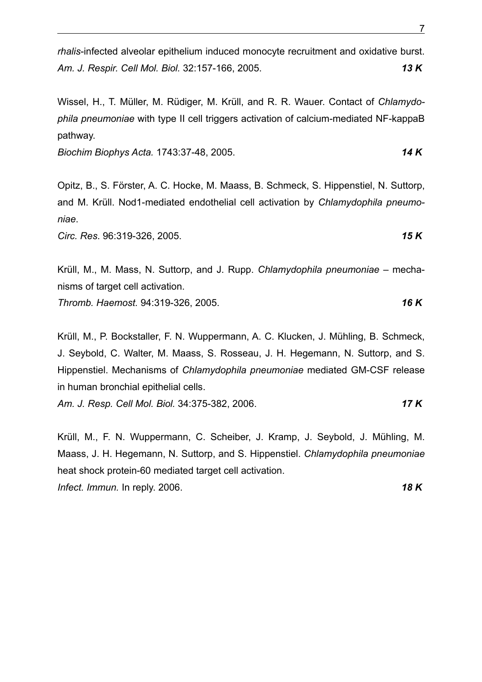*rhalis*-infected alveolar epithelium induced monocyte recruitment and oxidative burst. *Am. J. Respir. Cell Mol. Biol.* 32:157-166, 2005. *13 K*

Wissel, H., T. Müller, M. Rüdiger, M. Krüll, and R. R. Wauer. Contact of *Chlamydophila pneumoniae* with type II cell triggers activation of calcium-mediated NF-kappaB pathway.

*Biochim Biophys Acta.* 1743:37-48, 2005. *14 K*

Opitz, B., S. Förster, A. C. Hocke, M. Maass, B. Schmeck, S. Hippenstiel, N. Suttorp, and M. Krüll. Nod1-mediated endothelial cell activation by *Chlamydophila pneumoniae*.

*Circ. Res*. 96:319-326, 2005. *15 K*

Krüll, M., M. Mass, N. Suttorp, and J. Rupp. *Chlamydophila pneumoniae* – mechanisms of target cell activation.

*Thromb. Haemost.* 94:319-326, 2005. *16 K*

Krüll, M., P. Bockstaller, F. N. Wuppermann, A. C. Klucken, J. Mühling, B. Schmeck, J. Seybold, C. Walter, M. Maass, S. Rosseau, J. H. Hegemann, N. Suttorp, and S. Hippenstiel. Mechanisms of *Chlamydophila pneumoniae* mediated GM-CSF release in human bronchial epithelial cells.

*Am. J. Resp. Cell Mol. Biol.* 34:375-382, 2006. *17 K*

Krüll, M., F. N. Wuppermann, C. Scheiber, J. Kramp, J. Seybold, J. Mühling, M. Maass, J. H. Hegemann, N. Suttorp, and S. Hippenstiel. *Chlamydophila pneumoniae* heat shock protein-60 mediated target cell activation. *Infect. Immun.* In reply. 2006. *18 K*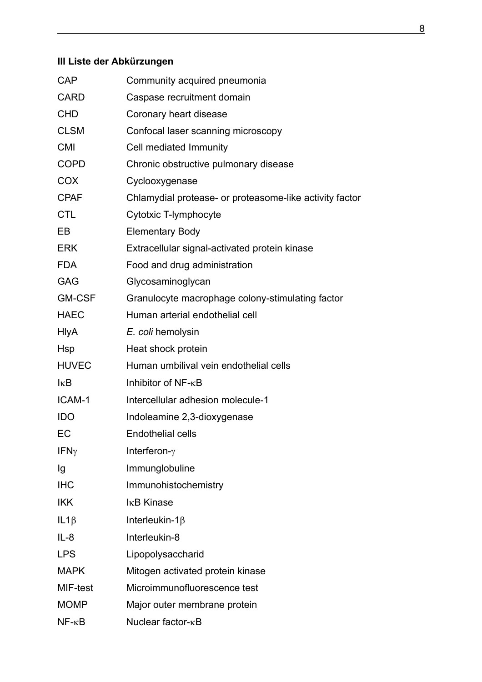# <span id="page-7-0"></span>**III Liste der Abkürzungen**

| <b>CAP</b>       | Community acquired pneumonia                            |
|------------------|---------------------------------------------------------|
| <b>CARD</b>      | Caspase recruitment domain                              |
| <b>CHD</b>       | Coronary heart disease                                  |
| <b>CLSM</b>      | Confocal laser scanning microscopy                      |
| <b>CMI</b>       | Cell mediated Immunity                                  |
| <b>COPD</b>      | Chronic obstructive pulmonary disease                   |
| <b>COX</b>       | Cyclooxygenase                                          |
| <b>CPAF</b>      | Chlamydial protease- or proteasome-like activity factor |
| <b>CTL</b>       | Cytotxic T-lymphocyte                                   |
| EB               | <b>Elementary Body</b>                                  |
| <b>ERK</b>       | Extracellular signal-activated protein kinase           |
| <b>FDA</b>       | Food and drug administration                            |
| <b>GAG</b>       | Glycosaminoglycan                                       |
| <b>GM-CSF</b>    | Granulocyte macrophage colony-stimulating factor        |
| <b>HAEC</b>      | Human arterial endothelial cell                         |
| <b>HIyA</b>      | E. coli hemolysin                                       |
| Hsp              | Heat shock protein                                      |
| <b>HUVEC</b>     | Human umbilival vein endothelial cells                  |
| $k$ B            | Inhibitor of NF- <sub>KB</sub>                          |
| ICAM-1           | Intercellular adhesion molecule-1                       |
| <b>IDO</b>       | Indoleamine 2,3-dioxygenase                             |
| EC               | <b>Endothelial cells</b>                                |
| IFN <sub>Y</sub> | Interferon- $\gamma$                                    |
| Ig               | Immunglobuline                                          |
| <b>IHC</b>       | Immunohistochemistry                                    |
| <b>IKK</b>       | I <sub>K</sub> B Kinase                                 |
| $IL1\beta$       | Interleukin-1 $\beta$                                   |
| $IL-8$           | Interleukin-8                                           |
| <b>LPS</b>       | Lipopolysaccharid                                       |
| <b>MAPK</b>      | Mitogen activated protein kinase                        |
| MIF-test         | Microimmunofluorescence test                            |
| <b>MOMP</b>      | Major outer membrane protein                            |
| $NF - \kappa B$  | Nuclear factor- <sub>KB</sub>                           |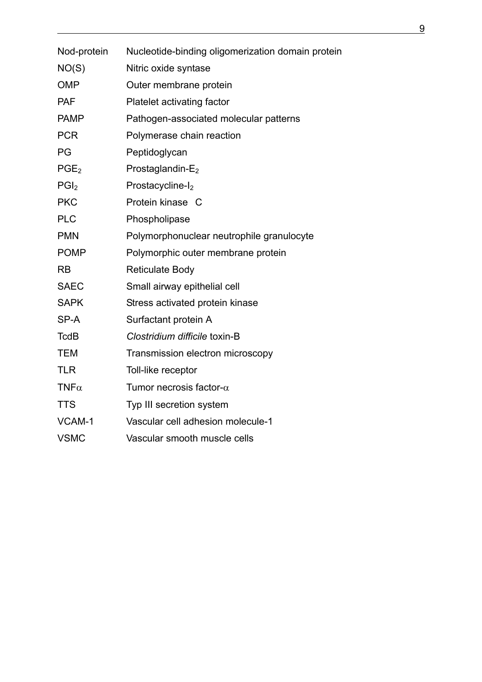| Nod-protein      | Nucleotide-binding oligomerization domain protein |
|------------------|---------------------------------------------------|
| NO(S)            | Nitric oxide syntase                              |
| <b>OMP</b>       | Outer membrane protein                            |
| <b>PAF</b>       | Platelet activating factor                        |
| <b>PAMP</b>      | Pathogen-associated molecular patterns            |
| <b>PCR</b>       | Polymerase chain reaction                         |
| PG               | Peptidoglycan                                     |
| PGE <sub>2</sub> | Prostaglandin-E <sub>2</sub>                      |
| PGI <sub>2</sub> | Prostacycline-I <sub>2</sub>                      |
| <b>PKC</b>       | Protein kinase C                                  |
| <b>PLC</b>       | Phospholipase                                     |
| <b>PMN</b>       | Polymorphonuclear neutrophile granulocyte         |
| <b>POMP</b>      | Polymorphic outer membrane protein                |
| <b>RB</b>        | <b>Reticulate Body</b>                            |
| <b>SAEC</b>      | Small airway epithelial cell                      |
| <b>SAPK</b>      | Stress activated protein kinase                   |
| SP-A             | Surfactant protein A                              |
| <b>TcdB</b>      | Clostridium difficile toxin-B                     |
| <b>TEM</b>       | Transmission electron microscopy                  |
| <b>TLR</b>       | Toll-like receptor                                |
| $TNF\alpha$      | Tumor necrosis factor- $\alpha$                   |
| <b>TTS</b>       | Typ III secretion system                          |
| VCAM-1           | Vascular cell adhesion molecule-1                 |
| <b>VSMC</b>      | Vascular smooth muscle cells                      |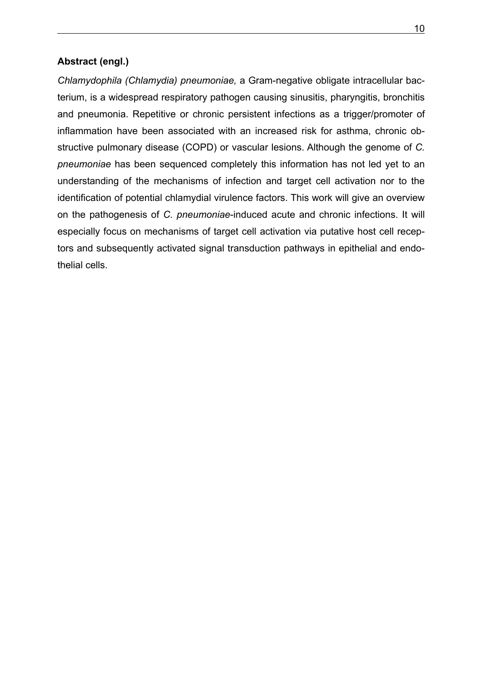### <span id="page-9-0"></span>**Abstract (engl.)**

*Chlamydophila (Chlamydia) pneumoniae,* a Gram-negative obligate intracellular bacterium, is a widespread respiratory pathogen causing sinusitis, pharyngitis, bronchitis and pneumonia. Repetitive or chronic persistent infections as a trigger/promoter of inflammation have been associated with an increased risk for asthma, chronic obstructive pulmonary disease (COPD) or vascular lesions. Although the genome of *C. pneumoniae* has been sequenced completely this information has not led yet to an understanding of the mechanisms of infection and target cell activation nor to the identification of potential chlamydial virulence factors. This work will give an overview on the pathogenesis of *C. pneumoniae*-induced acute and chronic infections. It will especially focus on mechanisms of target cell activation via putative host cell receptors and subsequently activated signal transduction pathways in epithelial and endothelial cells.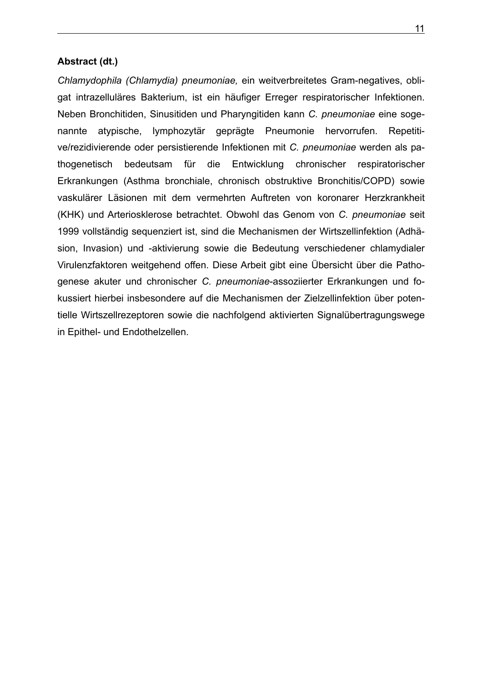### <span id="page-10-0"></span>**Abstract (dt.)**

*Chlamydophila (Chlamydia) pneumoniae,* ein weitverbreitetes Gram-negatives, obligat intrazelluläres Bakterium, ist ein häufiger Erreger respiratorischer Infektionen. Neben Bronchitiden, Sinusitiden und Pharyngitiden kann *C. pneumoniae* eine sogenannte atypische, lymphozytär geprägte Pneumonie hervorrufen. Repetitive/rezidivierende oder persistierende Infektionen mit *C. pneumoniae* werden als pathogenetisch bedeutsam für die Entwicklung chronischer respiratorischer Erkrankungen (Asthma bronchiale, chronisch obstruktive Bronchitis/COPD) sowie vaskulärer Läsionen mit dem vermehrten Auftreten von koronarer Herzkrankheit (KHK) und Arteriosklerose betrachtet. Obwohl das Genom von *C. pneumoniae* seit 1999 vollständig sequenziert ist, sind die Mechanismen der Wirtszellinfektion (Adhäsion, Invasion) und -aktivierung sowie die Bedeutung verschiedener chlamydialer Virulenzfaktoren weitgehend offen. Diese Arbeit gibt eine Übersicht über die Pathogenese akuter und chronischer *C. pneumoniae*-assoziierter Erkrankungen und fokussiert hierbei insbesondere auf die Mechanismen der Zielzellinfektion über potentielle Wirtszellrezeptoren sowie die nachfolgend aktivierten Signalübertragungswege in Epithel- und Endothelzellen.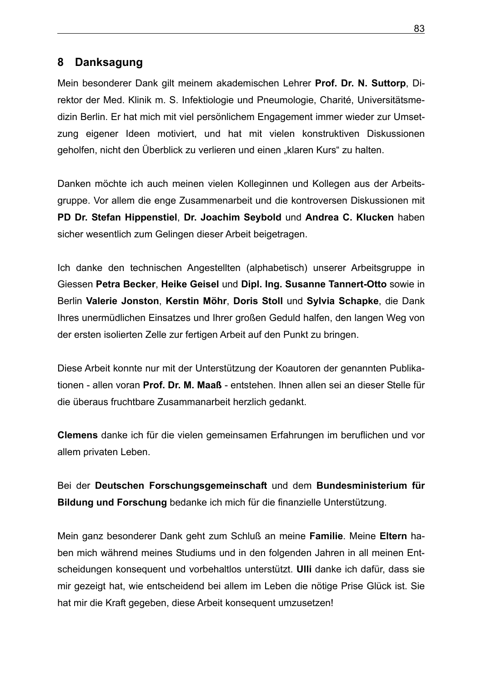## <span id="page-11-0"></span>**8 Danksagung**

Mein besonderer Dank gilt meinem akademischen Lehrer **Prof. Dr. N. Suttorp**, Direktor der Med. Klinik m. S. Infektiologie und Pneumologie, Charité, Universitätsmedizin Berlin. Er hat mich mit viel persönlichem Engagement immer wieder zur Umsetzung eigener Ideen motiviert, und hat mit vielen konstruktiven Diskussionen geholfen, nicht den Überblick zu verlieren und einen "klaren Kurs" zu halten.

Danken möchte ich auch meinen vielen Kolleginnen und Kollegen aus der Arbeitsgruppe. Vor allem die enge Zusammenarbeit und die kontroversen Diskussionen mit **PD Dr. Stefan Hippenstiel**, **Dr. Joachim Seybold** und **Andrea C. Klucken** haben sicher wesentlich zum Gelingen dieser Arbeit beigetragen.

Ich danke den technischen Angestellten (alphabetisch) unserer Arbeitsgruppe in Giessen **Petra Becker**, **Heike Geisel** und **Dipl. Ing. Susanne Tannert-Otto** sowie in Berlin **Valerie Jonston**, **Kerstin Möhr**, **Doris Stoll** und **Sylvia Schapke**, die Dank Ihres unermüdlichen Einsatzes und Ihrer großen Geduld halfen, den langen Weg von der ersten isolierten Zelle zur fertigen Arbeit auf den Punkt zu bringen.

Diese Arbeit konnte nur mit der Unterstützung der Koautoren der genannten Publikationen - allen voran **Prof. Dr. M. Maaß** - entstehen. Ihnen allen sei an dieser Stelle für die überaus fruchtbare Zusammanarbeit herzlich gedankt.

**Clemens** danke ich für die vielen gemeinsamen Erfahrungen im beruflichen und vor allem privaten Leben.

Bei der **Deutschen Forschungsgemeinschaft** und dem **Bundesministerium für Bildung und Forschung** bedanke ich mich für die finanzielle Unterstützung.

Mein ganz besonderer Dank geht zum Schluß an meine **Familie**. Meine **Eltern** haben mich während meines Studiums und in den folgenden Jahren in all meinen Entscheidungen konsequent und vorbehaltlos unterstützt. **Ulli** danke ich dafür, dass sie mir gezeigt hat, wie entscheidend bei allem im Leben die nötige Prise Glück ist. Sie hat mir die Kraft gegeben, diese Arbeit konsequent umzusetzen!